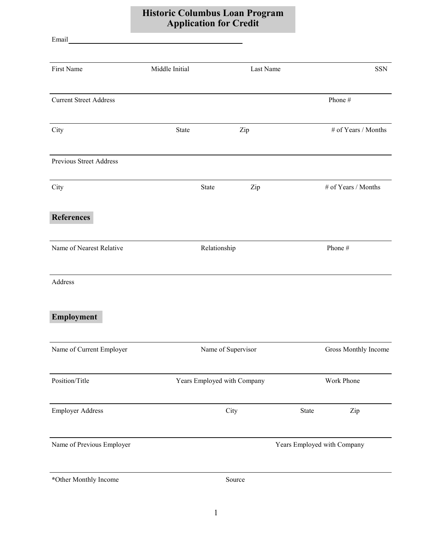## Historic Columbus Loan Program Application for Credit

Email

| First Name                    | Middle Initial |                             | Last Name |            | SSN                         |  |
|-------------------------------|----------------|-----------------------------|-----------|------------|-----------------------------|--|
| <b>Current Street Address</b> |                |                             |           |            | Phone #                     |  |
| City                          | State          |                             | Zip       |            | # of Years / Months         |  |
| Previous Street Address       |                |                             |           |            |                             |  |
| City                          |                | State                       | Zip       |            | # of Years / Months         |  |
| <b>References</b>             |                |                             |           |            |                             |  |
| Name of Nearest Relative      |                | Relationship                |           |            | Phone#                      |  |
| Address                       |                |                             |           |            |                             |  |
| Employment                    |                |                             |           |            |                             |  |
| Name of Current Employer      |                | Name of Supervisor          |           |            | Gross Monthly Income        |  |
| Position/Title                |                | Years Employed with Company |           | Work Phone |                             |  |
| <b>Employer Address</b>       |                |                             | City      | State      | Zip                         |  |
| Name of Previous Employer     |                |                             |           |            | Years Employed with Company |  |
| *Other Monthly Income         |                |                             | Source    |            |                             |  |